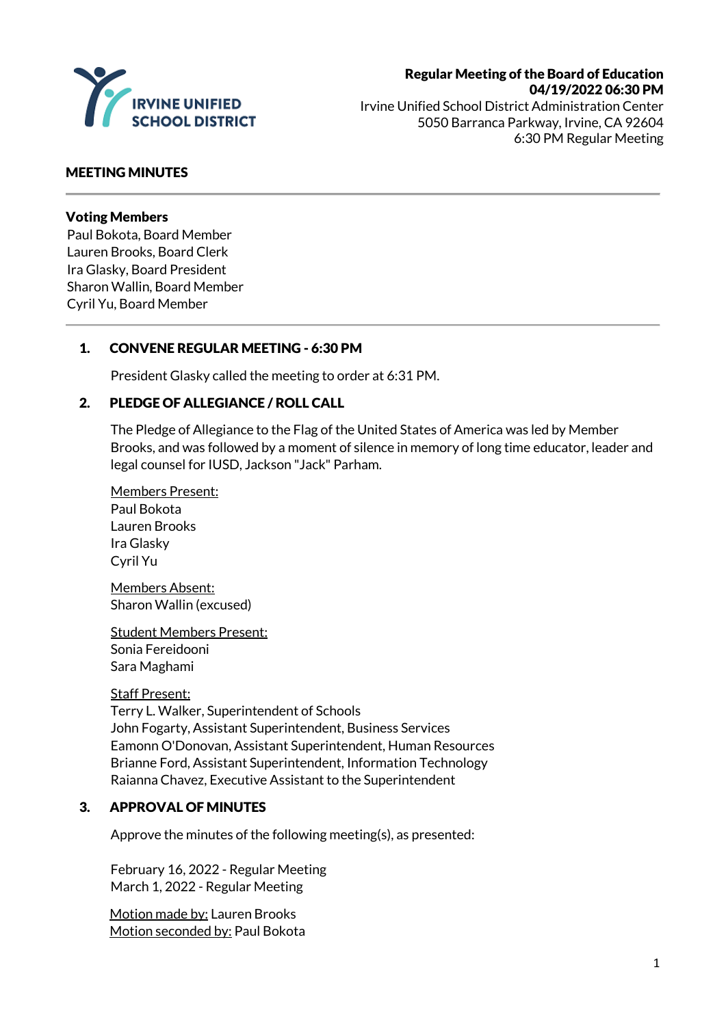

# Regular Meeting of the Board of Education 04/19/2022 06:30 PM

Irvine Unified School District Administration Center 5050 Barranca Parkway, Irvine, CA 92604 6:30 PM Regular Meeting

#### MEETING MINUTES

#### Voting Members

Paul Bokota, Board Member Lauren Brooks, Board Clerk Ira Glasky, Board President Sharon Wallin, Board Member Cyril Yu, Board Member

### 1. CONVENE REGULAR MEETING - 6:30 PM

President Glasky called the meeting to order at 6:31 PM.

#### 2. PLEDGE OF ALLEGIANCE / ROLL CALL

The Pledge of Allegiance to the Flag of the United States of America was led by Member Brooks, and was followed by a moment of silence in memory of long time educator, leader and legal counsel for IUSD, Jackson "Jack" Parham.

Members Present: Paul Bokota Lauren Brooks Ira Glasky Cyril Yu

Members Absent: Sharon Wallin (excused)

Student Members Present: Sonia Fereidooni Sara Maghami

#### Staff Present:

Terry L. Walker, Superintendent of Schools John Fogarty, Assistant Superintendent, Business Services Eamonn O'Donovan, Assistant Superintendent, Human Resources Brianne Ford, Assistant Superintendent, Information Technology Raianna Chavez, Executive Assistant to the Superintendent

#### 3. APPROVAL OF MINUTES

Approve the minutes of the following meeting(s), as presented:

February 16, 2022 - Regular Meeting March 1, 2022 - Regular Meeting

Motion made by: Lauren Brooks Motion seconded by: Paul Bokota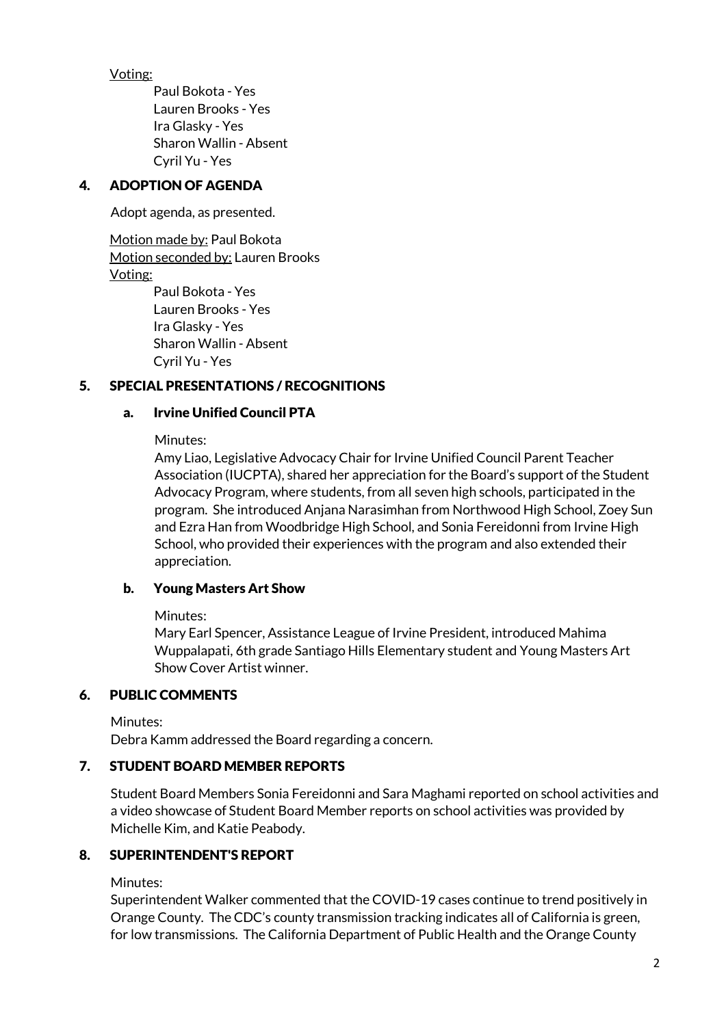Voting:

Paul Bokota - Yes Lauren Brooks - Yes Ira Glasky - Yes Sharon Wallin - Absent Cyril Yu - Yes

### 4. ADOPTION OF AGENDA

Adopt agenda, as presented.

Motion made by: Paul Bokota Motion seconded by: Lauren Brooks Voting: Paul Bokota - Yes Lauren Brooks - Yes Ira Glasky - Yes

Sharon Wallin - Absent Cyril Yu - Yes

# 5. SPECIAL PRESENTATIONS / RECOGNITIONS

### a. Irvine Unified Council PTA

Minutes:

Amy Liao, Legislative Advocacy Chair for Irvine Unified Council Parent Teacher Association (IUCPTA), shared her appreciation for the Board's support of the Student Advocacy Program, where students, from all seven high schools, participated in the program. She introduced Anjana Narasimhan from Northwood High School, Zoey Sun and Ezra Han from Woodbridge High School, and Sonia Fereidonni from Irvine High School, who provided their experiences with the program and also extended their appreciation.

#### b. Young Masters Art Show

Minutes:

Mary Earl Spencer, Assistance League of Irvine President, introduced Mahima Wuppalapati, 6th grade Santiago Hills Elementary student and Young Masters Art Show Cover Artist winner.

#### 6. PUBLIC COMMENTS

Minutes:

Debra Kamm addressed the Board regarding a concern.

### 7. STUDENT BOARD MEMBER REPORTS

Student Board Members Sonia Fereidonni and Sara Maghami reported on school activities and a video showcase of Student Board Member reports on school activities was provided by Michelle Kim, and Katie Peabody.

#### 8. SUPERINTENDENT'S REPORT

Minutes:

Superintendent Walker commented that the COVID-19 cases continue to trend positively in Orange County. The CDC's county transmission tracking indicates all of California is green, for low transmissions. The California Department of Public Health and the Orange County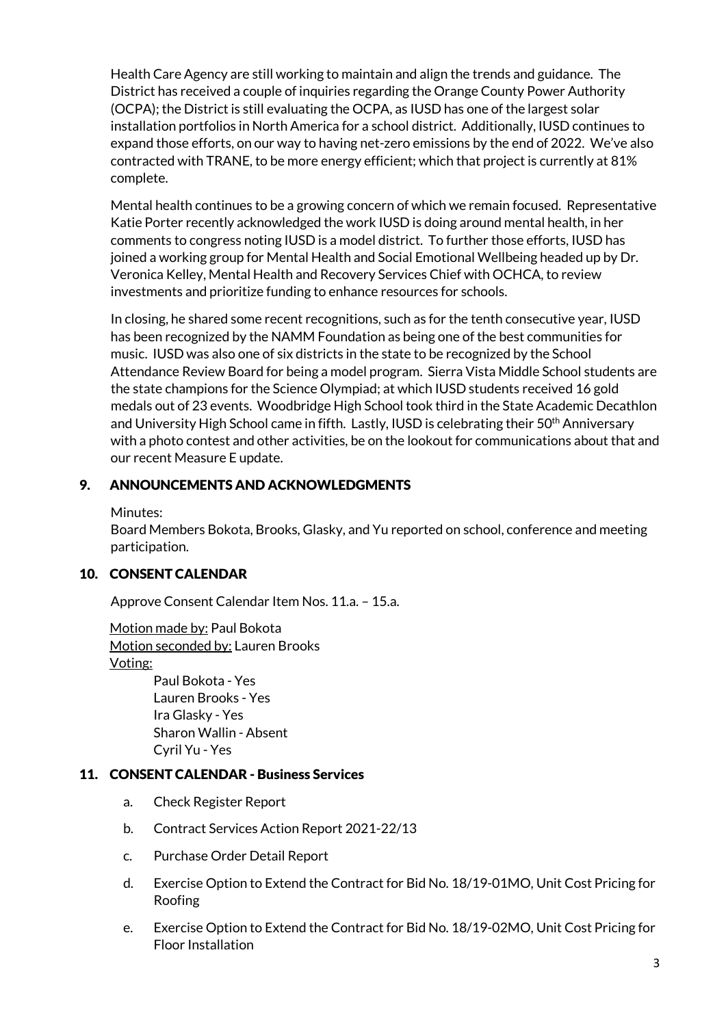Health Care Agency are still working to maintain and align the trends and guidance. The District has received a couple of inquiries regarding the Orange County Power Authority (OCPA); the District is still evaluating the OCPA, as IUSD has one of the largest solar installation portfolios in North America for a school district. Additionally, IUSD continues to expand those efforts, on our way to having net-zero emissions by the end of 2022. We've also contracted with TRANE, to be more energy efficient; which that project is currently at 81% complete.

Mental health continues to be a growing concern of which we remain focused. Representative Katie Porter recently acknowledged the work IUSD is doing around mental health, in her comments to congress noting IUSD is a model district. To further those efforts, IUSD has joined a working group for Mental Health and Social Emotional Wellbeing headed up by Dr. Veronica Kelley, Mental Health and Recovery Services Chief with OCHCA, to review investments and prioritize funding to enhance resources for schools.

In closing, he shared some recent recognitions, such as for the tenth consecutive year, IUSD has been recognized by the NAMM Foundation as being one of the best communities for music. IUSD was also one of six districts in the state to be recognized by the School Attendance Review Board for being a model program. Sierra Vista Middle School students are the state champions for the Science Olympiad; at which IUSD students received 16 gold medals out of 23 events. Woodbridge High School took third in the State Academic Decathlon and University High School came in fifth. Lastly, IUSD is celebrating their 50<sup>th</sup> Anniversary with a photo contest and other activities, be on the lookout for communications about that and our recent Measure E update.

# 9. ANNOUNCEMENTS AND ACKNOWLEDGMENTS

Minutes:

Board Members Bokota, Brooks, Glasky, and Yu reported on school, conference and meeting participation.

### 10. CONSENT CALENDAR

Approve Consent Calendar Item Nos. 11.a. – 15.a.

Motion made by: Paul Bokota Motion seconded by: Lauren Brooks Voting:

> Paul Bokota - Yes Lauren Brooks - Yes Ira Glasky - Yes Sharon Wallin - Absent Cyril Yu - Yes

### 11. CONSENT CALENDAR - Business Services

- a. Check Register Report
- b. Contract Services Action Report 2021-22/13
- c. Purchase Order Detail Report
- d. Exercise Option to Extend the Contract for Bid No. 18/19-01MO, Unit Cost Pricing for Roofing
- e. Exercise Option to Extend the Contract for Bid No. 18/19-02MO, Unit Cost Pricing for Floor Installation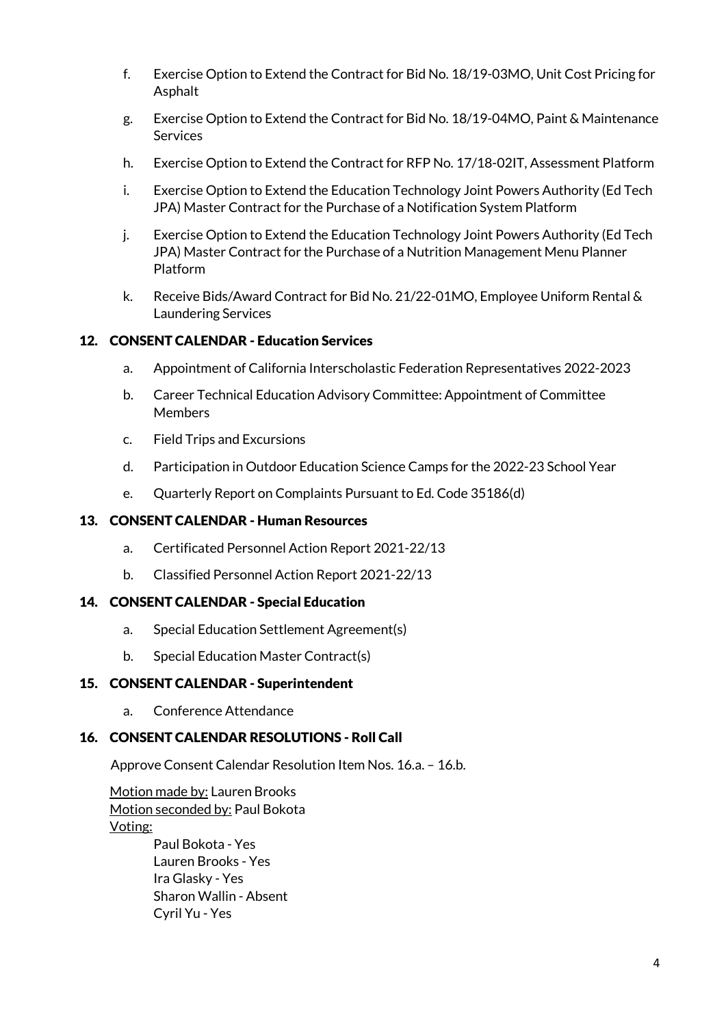- f. Exercise Option to Extend the Contract for Bid No. 18/19-03MO, Unit Cost Pricing for Asphalt
- g. Exercise Option to Extend the Contract for Bid No. 18/19-04MO, Paint & Maintenance **Services**
- h. Exercise Option to Extend the Contract for RFP No. 17/18-02IT, Assessment Platform
- i. Exercise Option to Extend the Education Technology Joint Powers Authority (Ed Tech JPA) Master Contract for the Purchase of a Notification System Platform
- j. Exercise Option to Extend the Education Technology Joint Powers Authority (Ed Tech JPA) Master Contract for the Purchase of a Nutrition Management Menu Planner Platform
- k. Receive Bids/Award Contract for Bid No. 21/22-01MO, Employee Uniform Rental & Laundering Services

### 12. CONSENT CALENDAR - Education Services

- a. Appointment of California Interscholastic Federation Representatives 2022-2023
- b. Career Technical Education Advisory Committee: Appointment of Committee Members
- c. Field Trips and Excursions
- d. Participation in Outdoor Education Science Camps for the 2022-23 School Year
- e. Quarterly Report on Complaints Pursuant to Ed. Code 35186(d)

### 13. CONSENT CALENDAR - Human Resources

- a. Certificated Personnel Action Report 2021-22/13
- b. Classified Personnel Action Report 2021-22/13

### 14. CONSENT CALENDAR - Special Education

- a. Special Education Settlement Agreement(s)
- b. Special Education Master Contract(s)

### 15. CONSENT CALENDAR - Superintendent

a. Conference Attendance

### 16. CONSENT CALENDAR RESOLUTIONS - Roll Call

Approve Consent Calendar Resolution Item Nos. 16.a. – 16.b.

Motion made by: Lauren Brooks Motion seconded by: Paul Bokota Voting:

Paul Bokota - Yes Lauren Brooks - Yes Ira Glasky - Yes Sharon Wallin - Absent Cyril Yu - Yes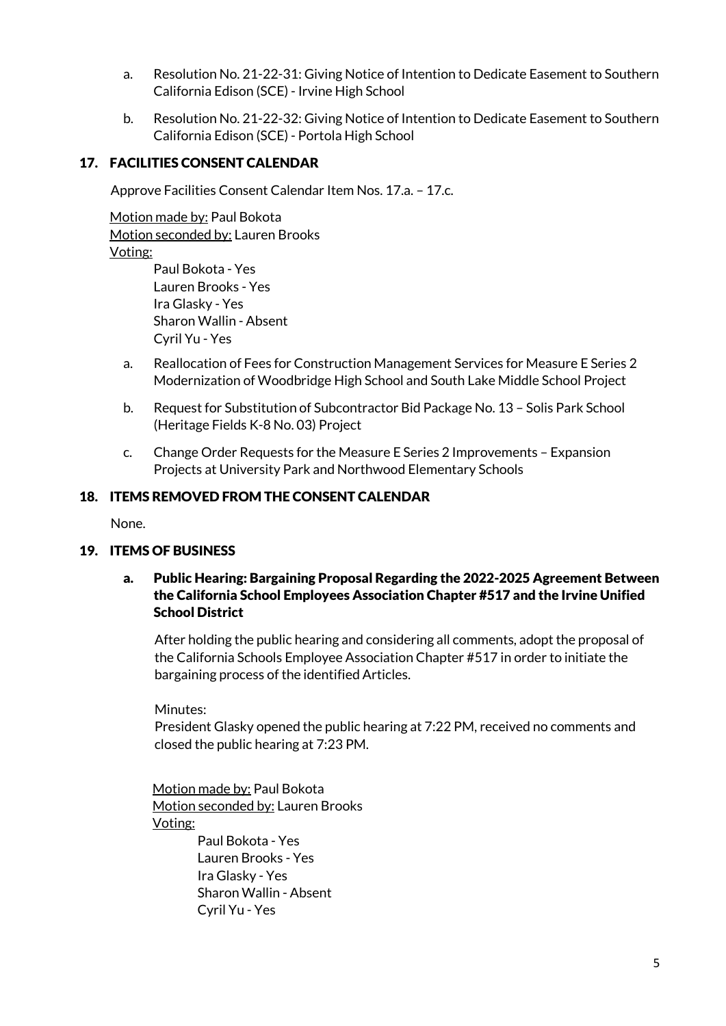- a. Resolution No. 21-22-31: Giving Notice of Intention to Dedicate Easement to Southern California Edison (SCE) - Irvine High School
- b. Resolution No. 21-22-32: Giving Notice of Intention to Dedicate Easement to Southern California Edison (SCE) - Portola High School

# 17. FACILITIES CONSENT CALENDAR

Approve Facilities Consent Calendar Item Nos. 17.a. – 17.c.

Motion made by: Paul Bokota Motion seconded by: Lauren Brooks Voting:

Paul Bokota - Yes Lauren Brooks - Yes Ira Glasky - Yes Sharon Wallin - Absent Cyril Yu - Yes

- a. Reallocation of Fees for Construction Management Services for Measure E Series 2 Modernization of Woodbridge High School and South Lake Middle School Project
- b. Request for Substitution of Subcontractor Bid Package No. 13 Solis Park School (Heritage Fields K-8 No. 03) Project
- c. Change Order Requests for the Measure E Series 2 Improvements Expansion Projects at University Park and Northwood Elementary Schools

# 18. ITEMS REMOVED FROM THE CONSENT CALENDAR

None.

### 19. ITEMS OF BUSINESS

### a. Public Hearing: Bargaining Proposal Regarding the 2022-2025 Agreement Between the California School Employees Association Chapter #517 and the Irvine Unified School District

After holding the public hearing and considering all comments, adopt the proposal of the California Schools Employee Association Chapter #517 in order to initiate the bargaining process of the identified Articles.

Minutes:

President Glasky opened the public hearing at 7:22 PM, received no comments and closed the public hearing at 7:23 PM.

Motion made by: Paul Bokota Motion seconded by: Lauren Brooks Voting:

Paul Bokota - Yes Lauren Brooks - Yes Ira Glasky - Yes Sharon Wallin - Absent Cyril Yu - Yes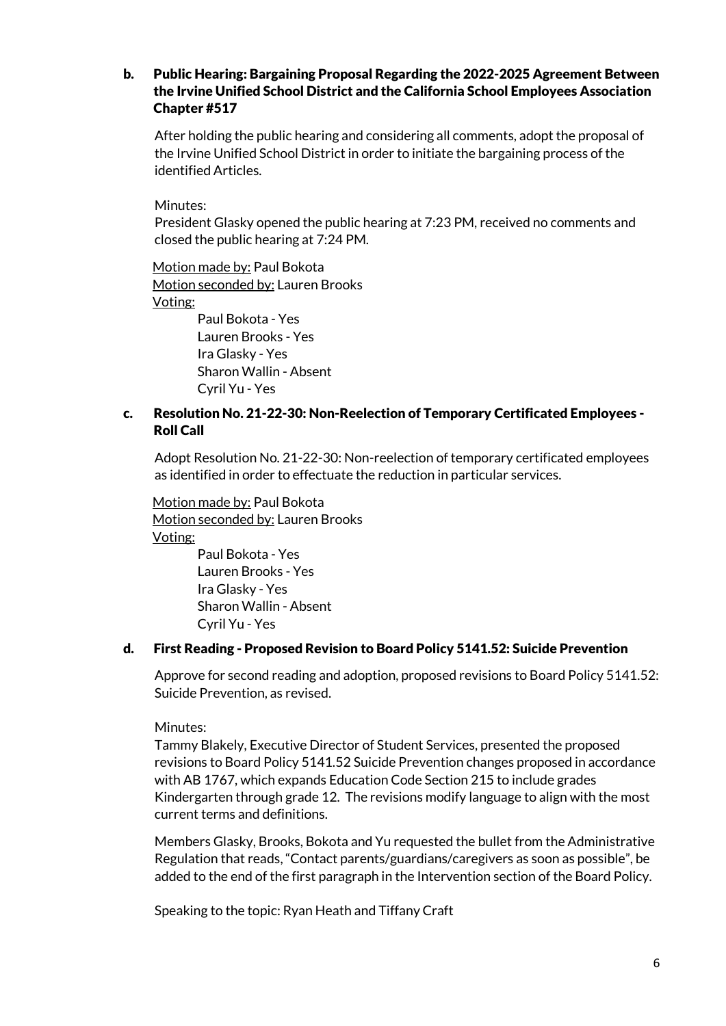#### b. Public Hearing: Bargaining Proposal Regarding the 2022-2025 Agreement Between the Irvine Unified School District and the California School Employees Association Chapter #517

After holding the public hearing and considering all comments, adopt the proposal of the Irvine Unified School District in order to initiate the bargaining process of the identified Articles.

Minutes:

President Glasky opened the public hearing at 7:23 PM, received no comments and closed the public hearing at 7:24 PM.

Motion made by: Paul Bokota Motion seconded by: Lauren Brooks Voting: Paul Bokota - Yes

Lauren Brooks - Yes Ira Glasky - Yes Sharon Wallin - Absent Cyril Yu - Yes

### c. Resolution No. 21-22-30: Non-Reelection of Temporary Certificated Employees - Roll Call

Adopt Resolution No. 21-22-30: Non-reelection of temporary certificated employees as identified in order to effectuate the reduction in particular services.

Motion made by: Paul Bokota Motion seconded by: Lauren Brooks Voting: Paul Bokota - Yes Lauren Brooks - Yes

Ira Glasky - Yes Sharon Wallin - Absent Cyril Yu - Yes

### d. First Reading - Proposed Revision to Board Policy 5141.52: Suicide Prevention

Approve for second reading and adoption, proposed revisions to Board Policy 5141.52: Suicide Prevention, as revised.

Minutes:

Tammy Blakely, Executive Director of Student Services, presented the proposed revisions to Board Policy 5141.52 Suicide Prevention changes proposed in accordance with AB 1767, which expands Education Code Section 215 to include grades Kindergarten through grade 12. The revisions modify language to align with the most current terms and definitions.

Members Glasky, Brooks, Bokota and Yu requested the bullet from the Administrative Regulation that reads, "Contact parents/guardians/caregivers as soon as possible", be added to the end of the first paragraph in the Intervention section of the Board Policy.

Speaking to the topic: Ryan Heath and Tiffany Craft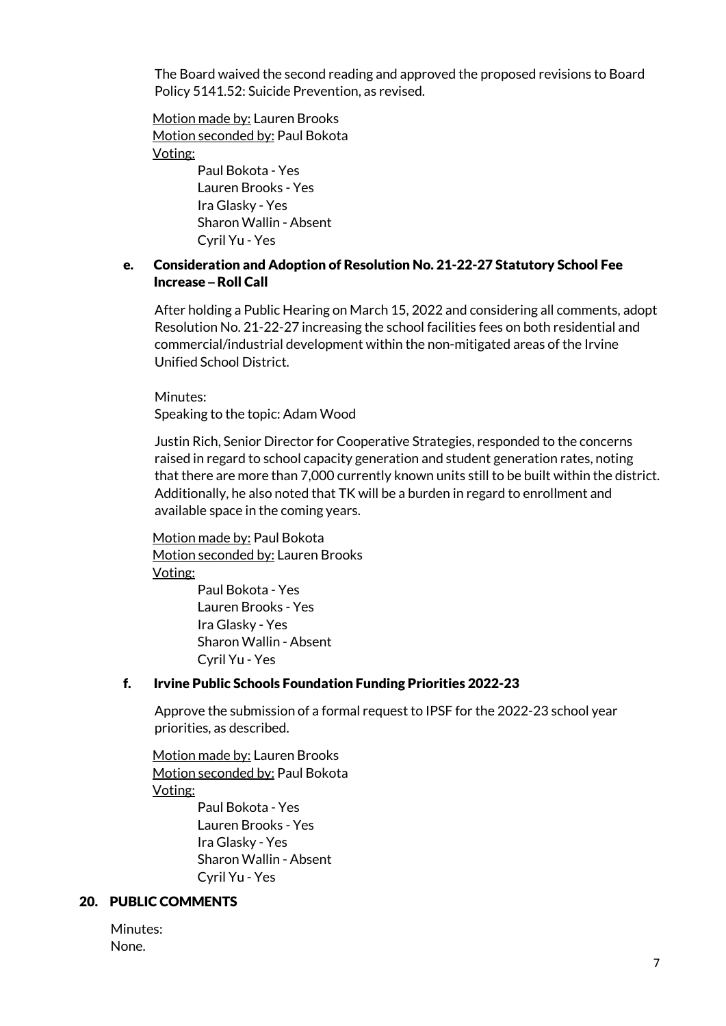The Board waived the second reading and approved the proposed revisions to Board Policy 5141.52: Suicide Prevention, as revised.

Motion made by: Lauren Brooks Motion seconded by: Paul Bokota Voting:

> Paul Bokota - Yes Lauren Brooks - Yes Ira Glasky - Yes Sharon Wallin - Absent Cyril Yu - Yes

# e. Consideration and Adoption of Resolution No. 21-22-27 Statutory School Fee Increase **–** Roll Call

After holding a Public Hearing on March 15, 2022 and considering all comments, adopt Resolution No. 21-22-27 increasing the school facilities fees on both residential and commercial/industrial development within the non-mitigated areas of the Irvine Unified School District.

Minutes: Speaking to the topic: Adam Wood

Justin Rich, Senior Director for Cooperative Strategies, responded to the concerns raised in regard to school capacity generation and student generation rates, noting that there are more than 7,000 currently known units still to be built within the district. Additionally, he also noted that TK will be a burden in regard to enrollment and available space in the coming years.

Motion made by: Paul Bokota Motion seconded by: Lauren Brooks Voting: Paul Bokota - Yes

Lauren Brooks - Yes Ira Glasky - Yes Sharon Wallin - Absent Cyril Yu - Yes

### f. Irvine Public Schools Foundation Funding Priorities 2022-23

Approve the submission of a formal request to IPSF for the 2022-23 school year priorities, as described.

Motion made by: Lauren Brooks Motion seconded by: Paul Bokota Voting: Paul Bokota - Yes

Lauren Brooks - Yes Ira Glasky - Yes Sharon Wallin - Absent Cyril Yu - Yes

#### 20. PUBLIC COMMENTS

Minutes: None.